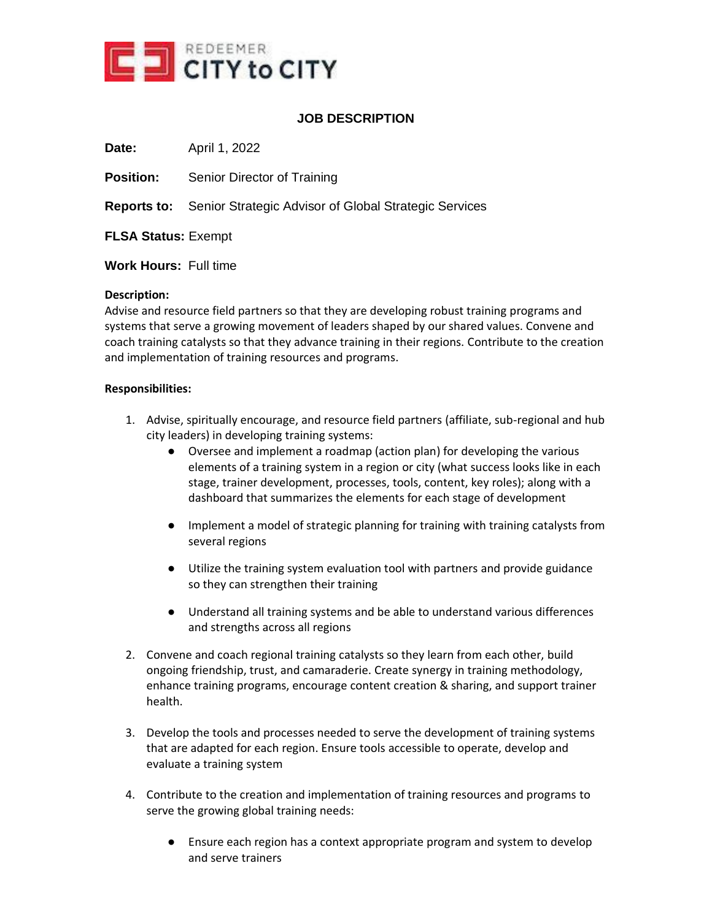

# **JOB DESCRIPTION**

**Date: April 1, 2022** 

**Position:** Senior Director of Training

**Reports to:** Senior Strategic Advisor of Global Strategic Services

**FLSA Status:** Exempt

**Work Hours:** Full time

### **Description:**

Advise and resource field partners so that they are developing robust training programs and systems that serve a growing movement of leaders shaped by our shared values. Convene and coach training catalysts so that they advance training in their regions. Contribute to the creation and implementation of training resources and programs.

### **Responsibilities:**

- 1. Advise, spiritually encourage, and resource field partners (affiliate, sub-regional and hub city leaders) in developing training systems:
	- Oversee and implement a roadmap (action plan) for developing the various elements of a training system in a region or city (what success looks like in each stage, trainer development, processes, tools, content, key roles); along with a dashboard that summarizes the elements for each stage of development
	- Implement a model of strategic planning for training with training catalysts from several regions
	- Utilize the training system evaluation tool with partners and provide guidance so they can strengthen their training
	- Understand all training systems and be able to understand various differences and strengths across all regions
- 2. Convene and coach regional training catalysts so they learn from each other, build ongoing friendship, trust, and camaraderie. Create synergy in training methodology, enhance training programs, encourage content creation & sharing, and support trainer health.
- 3. Develop the tools and processes needed to serve the development of training systems that are adapted for each region. Ensure tools accessible to operate, develop and evaluate a training system
- 4. Contribute to the creation and implementation of training resources and programs to serve the growing global training needs:
	- Ensure each region has a context appropriate program and system to develop and serve trainers